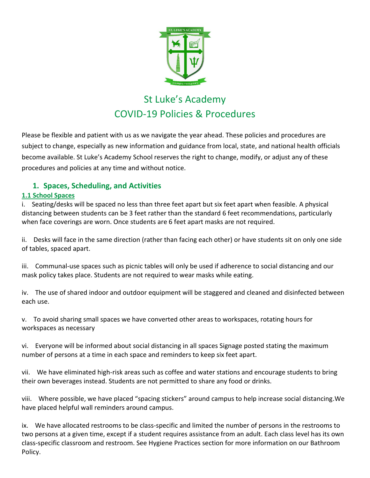

# St Luke's Academy COVID-19 Policies & Procedures

Please be flexible and patient with us as we navigate the year ahead. These policies and procedures are subject to change, especially as new information and guidance from local, state, and national health officials become available. St Luke's Academy School reserves the right to change, modify, or adjust any of these procedures and policies at any time and without notice.

# **1. Spaces, Scheduling, and Activitie[s](https://www.thefayschool.org/return-learn/policies-and-procedures-due-covid-19#accordion-block-1)**

# **[1.1 School Spaces](https://www.thefayschool.org/return-learn/policies-and-procedures-due-covid-19#accordion-block-1)**

i. Seating/desks will be spaced no less than three feet apart but six feet apart when feasible. A physical distancing between students can be 3 feet rather than the standard 6 feet recommendations, particularly when face coverings are worn. Once students are 6 feet apart masks are not required.

ii. Desks will face in the same direction (rather than facing each other) or have students sit on only one side of tables, spaced apart.

iii. Communal-use spaces such as picnic tables will only be used if adherence to social distancing and our mask policy takes place. Students are not required to wear masks while eating.

iv. The use of shared indoor and outdoor equipment will be staggered and cleaned and disinfected between each use.

v. To avoid sharing small spaces we have converted other areas to workspaces, rotating hours for workspaces as necessary

vi. Everyone will be informed about social distancing in all spaces Signage posted stating the maximum number of persons at a time in each space and reminders to keep six feet apart.

vii. We have eliminated high-risk areas such as coffee and water stations and encourage students to bring their own beverages instead. Students are not permitted to share any food or drinks.

viii. Where possible, we have placed "spacing stickers" around campus to help increase social distancing.We have placed helpful wall reminders around campus.

ix. We have allocated restrooms to be class-specific and limited the number of persons in the restrooms to two persons at a given time, except if a student requires assistance from an adult. Each class level has its own class-specific classroom and restroom. See Hygiene Practices section for more information on our Bathroom Policy.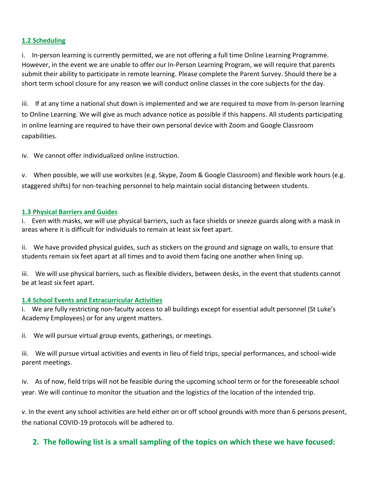### **[1.2 Scheduling](https://www.thefayschool.org/return-learn/policies-and-procedures-due-covid-19#accordion-block-0)**

i. In-person learning is currently permitted, we are not offering a full time Online Learning Programme. However, in the event we are unable to offer our In-Person Learning Program, we will require that parents submit their ability to participate in remote learning. Please complete the Parent Survey. Should there be a short term school closure for any reason we will conduct online classes in the core subjects for the day.

iii. If at any time a national shut down is implemented and we are required to move from In-person learning to Online Learning. We will give as much advance notice as possible if this happens. All students participating in online learning are required to have their own personal device with Zoom and Google Classroom capabilities.

iv. We cannot offer individualized online instruction.

v. When possible, we will use worksites (e.g. Skype, Zoom & Google Classroom) and flexible work hours (e.g. staggered shifts) for non-teaching personnel to help maintain social distancing between students[.](https://www.thefayschool.org/return-learn/policies-and-procedures-due-covid-19#accordion-block-2)

#### **[1.3 Physical Barriers and Guides](https://www.thefayschool.org/return-learn/policies-and-procedures-due-covid-19#accordion-block-2)**

i. Even with masks, we will use physical barriers, such as face shields or sneeze guards along with a mask in areas where it is difficult for individuals to remain at least six feet apart.

ii. We have provided physical guides, such as stickers on the ground and signage on walls, to ensure that students remain six feet apart at all times and to avoid them facing one another when lining up.

iii. We will use physical barriers, such as flexible dividers, between desks, in the event that students cannot [be at least six feet apart.](https://www.thefayschool.org/return-learn/policies-and-procedures-due-covid-19#accordion-block-3)

#### **[1.4 School Events and Extracurricular Activities](https://www.thefayschool.org/return-learn/policies-and-procedures-due-covid-19#accordion-block-3)**

i. We are fully restricting non-faculty access to all buildings except for essential adult personnel (St Luke's Academy Employees) or for any urgent matters.

ii. We will pursue virtual group events, gatherings, or meetings.

iii. We will pursue virtual activities and events in lieu of field trips, special performances, and school-wide parent meetings.

iv. As of now, field trips will not be feasible during the upcoming school term or for the foreseeable school year. We will continue to monitor the situation and the logistics of the location of the intended trip.

v. In the event any school activities are held either on or off school grounds with more than 6 persons present, the national COVID-19 protocols will be adhered to.

# **2. The following list is a small sampling of the topics on which these we have focused:**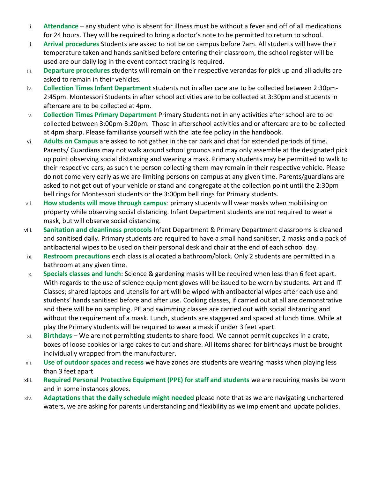- i. **Attendance** any student who is absent for illness must be without a fever and off of all medications for 24 hours. They will be required to bring a doctor's note to be permitted to return to school.
- ii. **Arrival procedures** Students are asked to not be on campus before 7am. All students will have their temperature taken and hands sanitised before entering their classroom, the school register will be used are our daily log in the event contact tracing is required.
- iii. **Departure procedures** students will remain on their respective verandas for pick up and all adults are asked to remain in their vehicles.
- iv. **Collection Times Infant Department** students not in after care are to be collected between 2:30pm-2:45pm. Montessori Students in after school activities are to be collected at 3:30pm and students in aftercare are to be collected at 4pm.
- v. **Collection Times Primary Department** Primary Students not in any activities after school are to be collected between 3:00pm-3:20pm. Those in afterschool activities and or aftercare are to be collected at 4pm sharp. Please familiarise yourself with the late fee policy in the handbook.
- vi. **Adults on Campus** are asked to not gather in the car park and chat for extended periods of time. Parents/ Guardians may not walk around school grounds and may only assemble at the designated pick up point observing social distancing and wearing a mask. Primary students may be permitted to walk to their respective cars, as such the person collecting them may remain in their respective vehicle. Please do not come very early as we are limiting persons on campus at any given time. Parents/guardians are asked to not get out of your vehicle or stand and congregate at the collection point until the 2:30pm bell rings for Montessori students or the 3:00pm bell rings for Primary students.
- vii. **How students will move through campus**: primary students will wear masks when mobilising on property while observing social distancing. Infant Department students are not required to wear a mask, but will observe social distancing.
- viii. **Sanitation and cleanliness protocols** Infant Department & Primary Department classrooms is cleaned and sanitised daily. Primary students are required to have a small hand sanitiser, 2 masks and a pack of antibacterial wipes to be used on their personal desk and chair at the end of each school day.
- ix. **Restroom precautions** each class is allocated a bathroom/block. Only 2 students are permitted in a bathroom at any given time.
- x. **Specials classes and lunch:** Science & gardening masks will be required when less than 6 feet apart. With regards to the use of science equipment gloves will be issued to be worn by students. Art and IT Classes; shared laptops and utensils for art will be wiped with antibacterial wipes after each use and students' hands sanitised before and after use. Cooking classes, if carried out at all are demonstrative and there will be no sampling. PE and swimming classes are carried out with social distancing and without the requirement of a mask. Lunch, students are staggered and spaced at lunch time. While at play the Primary students will be required to wear a mask if under 3 feet apart.
- xi. **Birthdays**  We are not permitting students to share food. We cannot permit cupcakes in a crate, boxes of loose cookies or large cakes to cut and share. All items shared for birthdays must be brought individually wrapped from the manufacturer.
- xii. **Use of outdoor spaces and recess** we have zones are students are wearing masks when playing less than 3 feet apart
- xiii. **Required Personal Protective Equipment (PPE) for staff and students** we are requiring masks be worn and in some instances gloves.
- xiv. **Adaptations that the daily schedule might needed** please note that as we are navigating unchartered waters, we are asking for parents understanding and flexibility as we implement and update policies.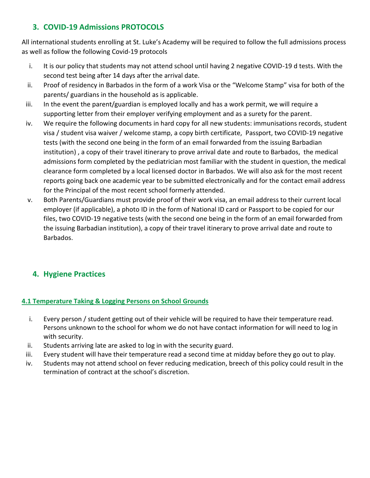# **3. COVID-19 Admissions PROTOCOLS**

All international students enrolling at St. Luke's Academy will be required to follow the full admissions process as well as follow the following Covid-19 protocols

- i. It is our policy that students may not attend school until having 2 negative COVID-19 d tests. With the second test being after 14 days after the arrival date.
- ii. Proof of residency in Barbados in the form of a work Visa or the "Welcome Stamp" visa for both of the parents/ guardians in the household as is applicable.
- iii. In the event the parent/guardian is employed locally and has a work permit, we will require a supporting letter from their employer verifying employment and as a surety for the parent.
- iv. We require the following documents in hard copy for all new students: immunisations records, student visa / student visa waiver / welcome stamp, a copy birth certificate, Passport, two COVID-19 negative tests (with the second one being in the form of an email forwarded from the issuing Barbadian institution) , a copy of their travel itinerary to prove arrival date and route to Barbados, the medical admissions form completed by the pediatrician most familiar with the student in question, the medical clearance form completed by a local licensed doctor in Barbados. We will also ask for the most recent reports going back one academic year to be submitted electronically and for the contact email address for the Principal of the most recent school formerly attended.
- v. Both Parents/Guardians must provide proof of their work visa, an email address to their current local employer (if applicable), a photo ID in the form of National ID card or Passport to be copied for our files, two COVID-19 negative tests (with the second one being in the form of an email forwarded from the issuing Barbadian institution), a copy of their travel itinerary to prove arrival date and route to Barbados.

# **4. Hygiene Practices**

# **[4.1 Temperature Taking & Logging Persons on School Grounds](https://www.thefayschool.org/return-learn/policies-and-procedures-due-covid-19#accordion-block-6)**

- i. [Every person / student getting out of their vehicle will be required to have their temperature read.](https://www.thefayschool.org/return-learn/policies-and-procedures-due-covid-19#accordion-block-6)  [Persons unknown to the school for whom we do not have contact information for will need to log in](https://www.thefayschool.org/return-learn/policies-and-procedures-due-covid-19#accordion-block-6)  [with security.](https://www.thefayschool.org/return-learn/policies-and-procedures-due-covid-19#accordion-block-6)
- ii. [Students arriving late are asked to log in with the security guard.](https://www.thefayschool.org/return-learn/policies-and-procedures-due-covid-19#accordion-block-6)
- iii. [Every student will have their temperature read a second time at midday before they go out to play.](https://www.thefayschool.org/return-learn/policies-and-procedures-due-covid-19#accordion-block-6)
- iv. [Students may not attend school on fever reducing medication, breech of this policy could result in the](https://www.thefayschool.org/return-learn/policies-and-procedures-due-covid-19#accordion-block-6)  termination of co[ntract at the school's discretion.](https://www.thefayschool.org/return-learn/policies-and-procedures-due-covid-19#accordion-block-6)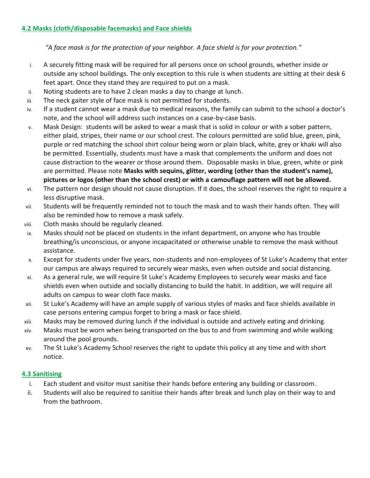*"A face mask is for the protection of your neighbor. A face shield is for your protection."*

- i. A securely fitting mask will be required for all persons once on school grounds, whether inside or outside any school buildings. The only exception to this rule is when students are sitting at their desk 6 feet apart. Once they stand they are required to put on a mask.
- ii. Noting students are to have 2 clean masks a day to change at lunch.
- iii. The neck gaiter style of face mask is not permitted for students.
- iv. If a student cannot wear a mask due to medical reasons, the family can submit to the school a doctor's note, and the school will address such instances on a case-by-case basis.
- v. Mask Design: students will be asked to wear a mask that is solid in colour or with a sober pattern, either plaid, stripes, their name or our school crest. The colours permitted are solid blue, green, pink, purple or red matching the school shirt colour being worn or plain black, white, grey or khaki will also be permitted. Essentially, students must have a mask that complements the uniform and does not cause distraction to the wearer or those around them. Disposable masks in blue, green, white or pink are permitted. Please note **Masks with sequins, glitter, wording (other than the student's name), pictures or logos (other than the school crest) or with a camouflage pattern will not be allowed.**
- vi. The pattern nor design should not cause disruption. If it does, the school reserves the right to require a less disruptive mask.
- vii. Students will be frequently reminded not to touch the mask and to wash their hands often. They will also be reminded how to remove a mask safely.
- viii. Cloth masks should be regularly cleaned.
- ix. Masks should not be placed on students in the infant department, on anyone who has trouble breathing/is unconscious, or anyone incapacitated or otherwise unable to remove the mask without assistance.
- x. Except for students under five years, non-students and non-employees of St Luke's Academy that enter our campus are always required to securely wear masks, even when outside and social distancing.
- xi. As a general rule, we will require St Luke's Academy Employees to securely wear masks and face shields even when outside and socially distancing to build the habit. In addition, we will require all adults on campus to wear cloth face masks.
- xii. St Luke's Academy will have an ample supply of various styles of masks and face shields available in case persons entering campus forget to bring a mask or face shield.
- xiii. Masks may be removed during lunch if the individual is outside and actively eating and drinking.
- xiv. Masks must be worn when being transported on the bus to and from swimming and while walking around the pool grounds.
- xv. The St Luke's Academy School reserves the right to update this policy at any time and with short notice.

# **4.3 Sanitising**

- i. Each student and visitor must sanitise their hands before entering any building or classroom.
- ii. Students will also be required to sanitise their hands after break and lunch play on their way to and from the bathroom.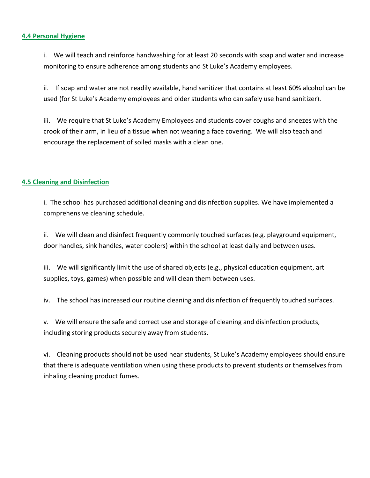#### **[4.4 Personal Hygiene](https://www.thefayschool.org/return-learn/policies-and-procedures-due-covid-19#accordion-block-7)**

i. We will teach and reinforce handwashing for at least 20 seconds with soap and water and increase monitoring to ensure adherence among students and St Luke's Academy employees.

ii. If soap and water are not readily available, hand sanitizer that contains at least 60% alcohol can be used (for St Luke's Academy employees and older students who can safely use hand sanitizer).

iii. We require that St Luke's Academy Employees and students cover coughs and sneezes with the crook of their arm, in lieu of a tissue when not wearing a face covering. We will also teach and encourage the replacement of soiled masks with a clean one.

### **[4.5 Cleaning and Disinfection](https://www.thefayschool.org/return-learn/policies-and-procedures-due-covid-19#accordion-block-8)**

i. The school has purchased additional cleaning and disinfection supplies. We have implemented a comprehensive cleaning schedule.

ii. We will clean and disinfect frequently commonly touched surfaces (e.g. playground equipment, door handles, sink handles, water coolers) within the school at least daily and between uses.

iii. We will significantly limit the use of shared objects (e.g., physical education equipment, art supplies, toys, games) when possible and will clean them between uses.

iv. The school has increased our routine cleaning and disinfection of frequently touched surfaces.

v. We will ensure the safe and correct use and storage of cleaning and disinfection products, including storing products securely away from students.

vi. Cleaning products should not be used near students, St Luke's Academy employees should ensure that there is adequate ventilation when using these products to prevent students or themselves from inhaling cleaning product fumes.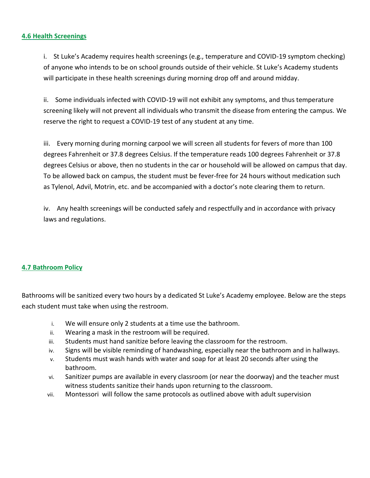#### **4.6 [Health Screenings](https://www.thefayschool.org/return-learn/policies-and-procedures-due-covid-19#accordion-block-9)**

i. St Luke's Academy requires health screenings (e.g., temperature and COVID-19 symptom checking) of anyone who intends to be on school grounds outside of their vehicle. St Luke's Academy students will participate in these health screenings during morning drop off and around midday.

ii. Some individuals infected with COVID-19 will not exhibit any symptoms, and thus temperature screening likely will not prevent all individuals who transmit the disease from entering the campus. We reserve the right to request a COVID-19 test of any student at any time.

iii. Every morning during morning carpool we will screen all students for fevers of more than 100 degrees Fahrenheit or 37.8 degrees Celsius. If the temperature reads 100 degrees Fahrenheit or 37.8 degrees Celsius or above, then no students in the car or household will be allowed on campus that day. To be allowed back on campus, the student must be fever-free for 24 hours without medication such as Tylenol, Advil, Motrin, etc. and be accompanied with a doctor's note clearing them to return.

iv. Any health screenings will be conducted safely and respectfully and in accordance with privacy laws and regulations.

### **[4.7 Bathroom Policy](https://www.thefayschool.org/return-learn/policies-and-procedures-due-covid-19#accordion-block-10)**

Bathrooms will be sanitized every two hours by a dedicated St Luke's Academy employee. Below are the steps each student must take when using the restroom.

- i. We will ensure only 2 students at a time use the bathroom.
- ii. Wearing a mask in the restroom will be required.
- iii. Students must hand sanitize before leaving the classroom for the restroom.
- iv. Signs will be visible reminding of handwashing, especially near the bathroom and in hallways.
- v. Students must wash hands with water and soap for at least 20 seconds after using the bathroom.
- vi. Sanitizer pumps are available in every classroom (or near the doorway) and the teacher must witness students sanitize their hands upon returning to the classroom.
- vii. Montessori will follow the same protocols as outlined above with adult supervision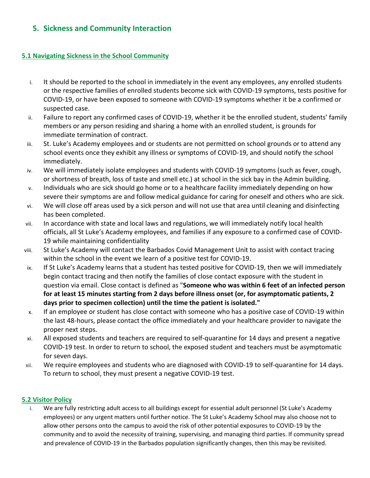# **5. Sickness and Community Interaction**

#### **[5.1 Navigating Sickness in the School Community](https://www.thefayschool.org/return-learn/policies-and-procedures-due-covid-19#accordion-block-11)**

- i. It should be reported to the school in immediately in the event any employees, any enrolled students or the respective families of enrolled students become sick with COVID-19 symptoms, tests positive for COVID-19, or have been exposed to someone with COVID-19 symptoms whether it be a confirmed or suspected case.
- ii. Failure to report any confirmed cases of COVID-19, whether it be the enrolled student, students' family members or any person residing and sharing a home with an enrolled student, is grounds for immediate termination of contract.
- iii. St. Luke's Academy employees and or students are not permitted on school grounds or to attend any school events once they exhibit any illness or symptoms of COVID-19, and should notify the school immediately.
- iv. We will immediately isolate employees and students with COVID-19 symptoms (such as fever, cough, or shortness of breath, loss of taste and smell etc.) at school in the sick bay in the Admin building.
- v. Individuals who are sick should go home or to a healthcare facility immediately depending on how severe their symptoms are and follow medical guidance for caring for oneself and others who are sick.
- vi. We will close off areas used by a sick person and will not use that area until cleaning and disinfecting has been completed.
- vii. In accordance with state and local laws and regulations, we will immediately notify local health officials, all St Luke's Academy employees, and families if any exposure to a confirmed case of COVID-19 while maintaining confidentiality
- viii. St Luke's Academy will contact the Barbados Covid Management Unit to assist with contact tracing within the school in the event we learn of a positive test for COVID-19.
- ix. If St Luke's Academy learns that a student has tested positive for COVID-19, then we will immediately begin contact tracing and then notify the families of close contact exposure with the student in question via email. Close contact is defined as "**[Someone who was within 6 feet of an infected person](https://www.cdc.gov/coronavirus/2019-ncov/php/contact-tracing/contact-tracing-plan/appendix.html#contact)  [for at least 15 minutes starting from 2 days before illness onset \(or, for asymptomatic patients, 2](https://www.cdc.gov/coronavirus/2019-ncov/php/contact-tracing/contact-tracing-plan/appendix.html#contact)  [days prior to specimen collection\) until the time the patient is isolated."](https://www.cdc.gov/coronavirus/2019-ncov/php/contact-tracing/contact-tracing-plan/appendix.html#contact)**
- x. If an employee or student has close contact with someone who has a positive case of COVID-19 within the last 48-hours, please contact the office immediately and your healthcare provider to navigate the proper next steps.
- xi. All exposed students and teachers are required to self-quarantine for 14 days and present a negative COVID-19 test. In order to return to school, the exposed student and teachers must be asymptomatic for seven days.
- xii. We require employees and students who are diagnosed with C[OVID-19 to self-quarantine for 14 days.](https://www.thefayschool.org/return-learn/policies-and-procedures-due-covid-19#accordion-block-13)  To return to school, they must present a negative COVID-19 test.

### **[5.2 Visitor Policy](https://www.thefayschool.org/return-learn/policies-and-procedures-due-covid-19#accordion-block-13)**

i. We are fully restricting adult access to all buildings except for essential adult personnel (St Luke's Academy employees) or any urgent matters until further notice. The St Luke's Academy School may also choose not to allow other persons onto the campus to avoid the risk of other potential exposures to COVID-19 by the community and to avoid the necessity of training, supervising, and managing third parties. If community spread and prevalence of COVID-19 in the Barbados population significantly changes, then this may be revisited.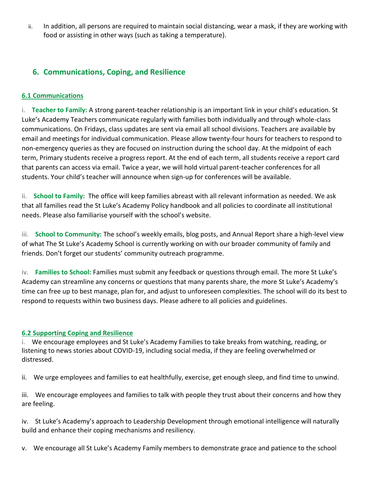ii. In addition, all persons are required to maintain social distancing, wear a mask, if they are working with food or assisting in other ways (such as taking a temperature).

# **6. [Communications, Coping, and Resilience](https://www.thefayschool.org/return-learn/policies-and-procedures-due-covid-19#accordion-block-14)**

## **[6.1 Communications](https://www.thefayschool.org/return-learn/policies-and-procedures-due-covid-19#accordion-block-14)**

i. **Teacher to Family:** A strong parent-teacher relationship is an important link in your child's education. St Luke's Academy Teachers communicate regularly with families both individually and through whole-class communications. On Fridays, class updates are sent via email all school divisions. Teachers are available by email and meetings for individual communication. Please allow twenty-four hours for teachers to respond to non-emergency queries as they are focused on instruction during the school day. At the midpoint of each term, Primary students receive a progress report. At the end of each term, all students receive a report card that parents can access via email. Twice a year, we will hold virtual parent-teacher conferences for all students. Your child's teacher will announce when sign-up for conferences will be available.

ii. **School to Family:** The office will keep families abreast with all relevant information as needed. We ask that all families read the St Luke's Academy Policy handbook and all policies to coordinate all institutional needs. Please also familiarise yourself with the school's website.

iii. **School to Community:** The school's weekly emails, blog posts, and Annual Report share a high-level view of what The St Luke's Academy School is currently working on with our broader community of family and friends. Don't forget our students' community outreach programme.

iv. **Families to School:** Families must submit any feedback or questions through email. The more St Luke's Academy can streamline any concerns or questions that many parents share, the more St Luke's Academy's time can free up to best manage, plan for, and adjust to unforeseen complexities. The school will do its best to respond to requests within two business days. Please adhere to all policies and guidelines.

### **[6.2 Supporting Coping and Resilience](https://www.thefayschool.org/return-learn/policies-and-procedures-due-covid-19#accordion-block-15)**

i. We encourage employees and St Luke's Academy Families to take breaks from watching, reading, or listening to news stories about COVID-19, including social media, if they are feeling overwhelmed or distressed.

ii. We urge employees and families to eat healthfully, exercise, get enough sleep, and find time to unwind.

iii. We encourage employees and families to talk with people they trust about their concerns and how they are feeling.

iv. St Luke's Academy's approach to Leadership Development through emotional intelligence will naturally build and enhance their coping mechanisms and resiliency.

v. We encourage all St Luke's Academy Family members to demonstrate grace and patience to the school